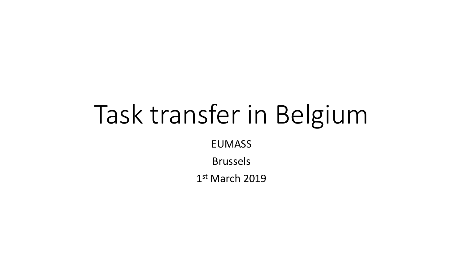# Task transfer in Belgium

EUMASS

Brussels

1 st March 2019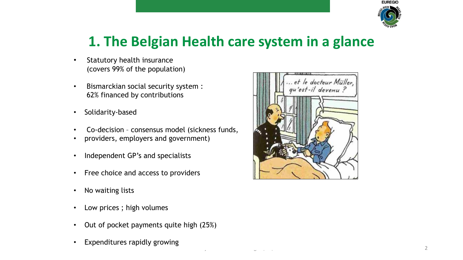

### **1. The Belgian Health care system in a glance**

- Statutory health insurance (covers 99% of the population)
- Bismarckian social security system : 62% financed by contributions
- Solidarity-based
- Co-decision consensus model (sickness funds,
- providers, employers and government)
- Independent GP's and specialists
- Free choice and access to providers
- No waiting lists
- Low prices ; high volumes
- Out of pocket payments quite high (25%)
- Expenditures rapidly growing

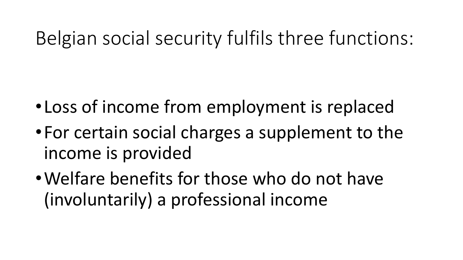## Belgian social security fulfils three functions:

- •Loss of income from employment is replaced
- •For certain social charges a supplement to the income is provided
- •Welfare benefits for those who do not have (involuntarily) a professional income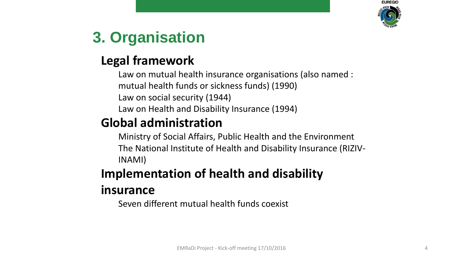

### **3. Organisation**

#### **Legal framework**

Law on mutual health insurance organisations (also named : mutual health funds or sickness funds) (1990) Law on social security (1944) Law on Health and Disability Insurance (1994)

#### **Global administration**

Ministry of Social Affairs, Public Health and the Environment The National Institute of Health and Disability Insurance (RIZIV-INAMI)

### **Implementation of health and disability**

#### **insurance**

Seven different mutual health funds coexist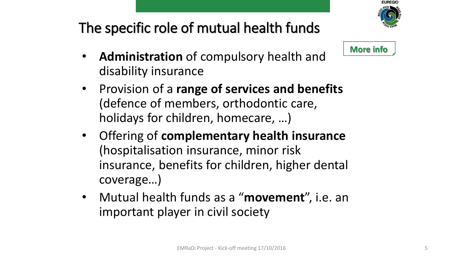

### The specific role of mutual health funds



- **Administration** of compulsory health and disability insurance
- Provision of a **range of services and benefits**  (defence of members, orthodontic care, holidays for children, homecare, …)
- Offering of **complementary health insurance** (hospitalisation insurance, minor risk insurance, benefits for children, higher dental coverage…)
- Mutual health funds as a "**movement**", i.e. an important player in civil society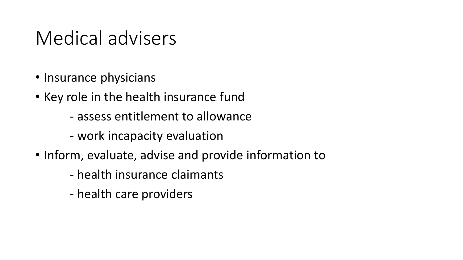### Medical advisers

- Insurance physicians
- Key role in the health insurance fund
	- assess entitlement to allowance
	- work incapacity evaluation
- Inform, evaluate, advise and provide information to
	- health insurance claimants
	- health care providers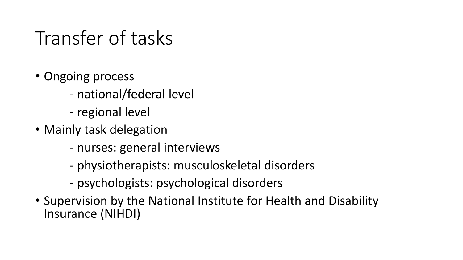## Transfer of tasks

- Ongoing process
	- national/federal level
	- regional level
- Mainly task delegation
	- nurses: general interviews
	- physiotherapists: musculoskeletal disorders
	- psychologists: psychological disorders
- Supervision by the National Institute for Health and Disability Insurance (NIHDI)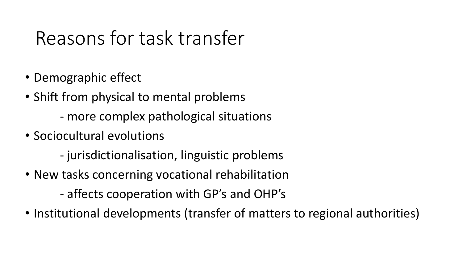## Reasons for task transfer

- Demographic effect
- Shift from physical to mental problems
	- more complex pathological situations
- Sociocultural evolutions
	- jurisdictionalisation, linguistic problems
- New tasks concerning vocational rehabilitation
	- affects cooperation with GP's and OHP's
- Institutional developments (transfer of matters to regional authorities)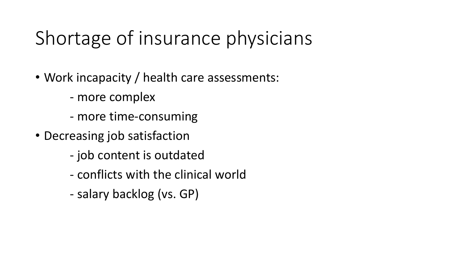## Shortage of insurance physicians

- Work incapacity / health care assessments:
	- more complex
	- more time-consuming
- Decreasing job satisfaction
	- job content is outdated
	- conflicts with the clinical world
	- salary backlog (vs. GP)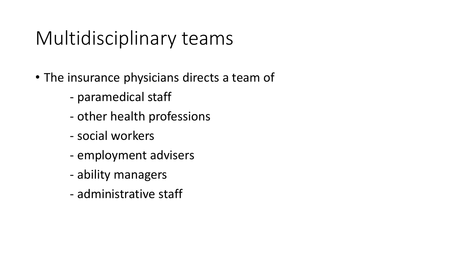## Multidisciplinary teams

- The insurance physicians directs a team of
	- paramedical staff
	- other health professions
	- social workers
	- employment advisers
	- ability managers
	- administrative staff